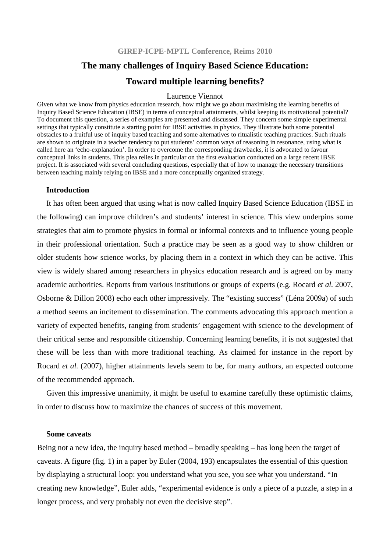# **The many challenges of Inquiry Based Science Education: Toward multiple learning benefits?**

#### Laurence Viennot

Given what we know from physics education research, how might we go about maximising the learning benefits of Inquiry Based Science Education (IBSE) in terms of conceptual attainments, whilst keeping its motivational potential? To document this question, a series of examples are presented and discussed. They concern some simple experimental settings that typically constitute a starting point for IBSE activities in physics. They illustrate both some potential obstacles to a fruitful use of inquiry based teaching and some alternatives to ritualistic teaching practices. Such rituals are shown to originate in a teacher tendency to put students' common ways of reasoning in resonance, using what is called here an 'echo-explanation'. In order to overcome the corresponding drawbacks, it is advocated to favour conceptual links in students. This plea relies in particular on the first evaluation conducted on a large recent IBSE project. It is associated with several concluding questions, especially that of how to manage the necessary transitions between teaching mainly relying on IBSE and a more conceptually organized strategy.

## **Introduction**

It has often been argued that using what is now called Inquiry Based Science Education (IBSE in the following) can improve children's and students' interest in science. This view underpins some strategies that aim to promote physics in formal or informal contexts and to influence young people in their professional orientation. Such a practice may be seen as a good way to show children or older students how science works, by placing them in a context in which they can be active. This view is widely shared among researchers in physics education research and is agreed on by many academic authorities. Reports from various institutions or groups of experts (e.g. Rocard *et al.* 2007, Osborne & Dillon 2008) echo each other impressively. The "existing success" (Léna 2009a) of such a method seems an incitement to dissemination. The comments advocating this approach mention a variety of expected benefits, ranging from students' engagement with science to the development of their critical sense and responsible citizenship. Concerning learning benefits, it is not suggested that these will be less than with more traditional teaching. As claimed for instance in the report by Rocard *et al.* (2007), higher attainments levels seem to be, for many authors, an expected outcome of the recommended approach.

Given this impressive unanimity, it might be useful to examine carefully these optimistic claims, in order to discuss how to maximize the chances of success of this movement.

#### **Some caveats**

Being not a new idea, the inquiry based method – broadly speaking – has long been the target of caveats. A figure (fig. 1) in a paper by Euler (2004, 193) encapsulates the essential of this question by displaying a structural loop: you understand what you see, you see what you understand. "In creating new knowledge", Euler adds, "experimental evidence is only a piece of a puzzle, a step in a longer process, and very probably not even the decisive step".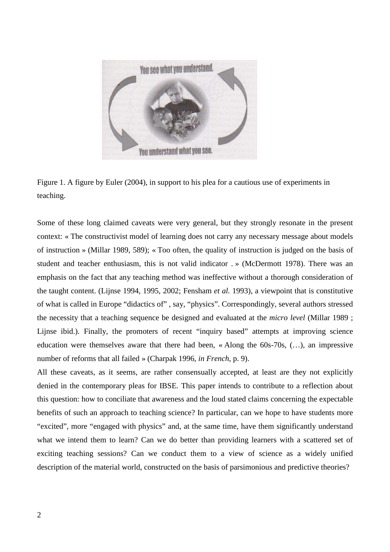

Figure 1. A figure by Euler (2004), in support to his plea for a cautious use of experiments in teaching.

Some of these long claimed caveats were very general, but they strongly resonate in the present context: « The constructivist model of learning does not carry any necessary message about models of instruction » (Millar 1989, 589); « Too often, the quality of instruction is judged on the basis of student and teacher enthusiasm, this is not valid indicator . » (McDermott 1978). There was an emphasis on the fact that any teaching method was ineffective without a thorough consideration of the taught content. (Lijnse 1994, 1995, 2002; Fensham *et al.* 1993), a viewpoint that is constitutive of what is called in Europe "didactics of" , say, "physics". Correspondingly, several authors stressed the necessity that a teaching sequence be designed and evaluated at the *micro level* (Millar 1989 ; Lijnse ibid.). Finally, the promoters of recent "inquiry based" attempts at improving science education were themselves aware that there had been, « Along the 60s-70s, (…), an impressive number of reforms that all failed » (Charpak 1996, *in French*, p. 9).

All these caveats, as it seems, are rather consensually accepted, at least are they not explicitly denied in the contemporary pleas for IBSE. This paper intends to contribute to a reflection about this question: how to conciliate that awareness and the loud stated claims concerning the expectable benefits of such an approach to teaching science? In particular, can we hope to have students more "excited", more "engaged with physics" and, at the same time, have them significantly understand what we intend them to learn? Can we do better than providing learners with a scattered set of exciting teaching sessions? Can we conduct them to a view of science as a widely unified description of the material world, constructed on the basis of parsimonious and predictive theories?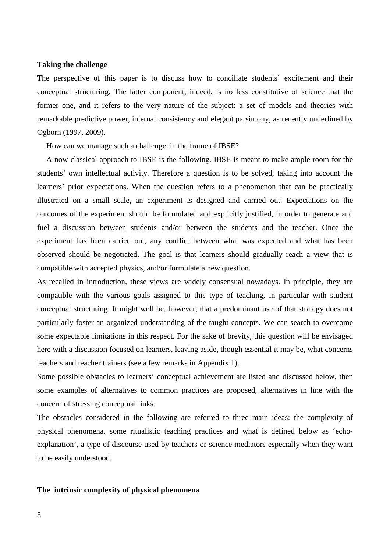## **Taking the challenge**

The perspective of this paper is to discuss how to conciliate students' excitement and their conceptual structuring. The latter component, indeed, is no less constitutive of science that the former one, and it refers to the very nature of the subject: a set of models and theories with remarkable predictive power, internal consistency and elegant parsimony, as recently underlined by Ogborn (1997, 2009).

How can we manage such a challenge, in the frame of IBSE?

A now classical approach to IBSE is the following. IBSE is meant to make ample room for the students' own intellectual activity. Therefore a question is to be solved, taking into account the learners' prior expectations. When the question refers to a phenomenon that can be practically illustrated on a small scale, an experiment is designed and carried out. Expectations on the outcomes of the experiment should be formulated and explicitly justified, in order to generate and fuel a discussion between students and/or between the students and the teacher. Once the experiment has been carried out, any conflict between what was expected and what has been observed should be negotiated. The goal is that learners should gradually reach a view that is compatible with accepted physics, and/or formulate a new question.

As recalled in introduction, these views are widely consensual nowadays. In principle, they are compatible with the various goals assigned to this type of teaching, in particular with student conceptual structuring. It might well be, however, that a predominant use of that strategy does not particularly foster an organized understanding of the taught concepts. We can search to overcome some expectable limitations in this respect. For the sake of brevity, this question will be envisaged here with a discussion focused on learners, leaving aside, though essential it may be, what concerns teachers and teacher trainers (see a few remarks in Appendix 1).

Some possible obstacles to learners' conceptual achievement are listed and discussed below, then some examples of alternatives to common practices are proposed, alternatives in line with the concern of stressing conceptual links.

The obstacles considered in the following are referred to three main ideas: the complexity of physical phenomena, some ritualistic teaching practices and what is defined below as 'echoexplanation', a type of discourse used by teachers or science mediators especially when they want to be easily understood.

## **The intrinsic complexity of physical phenomena**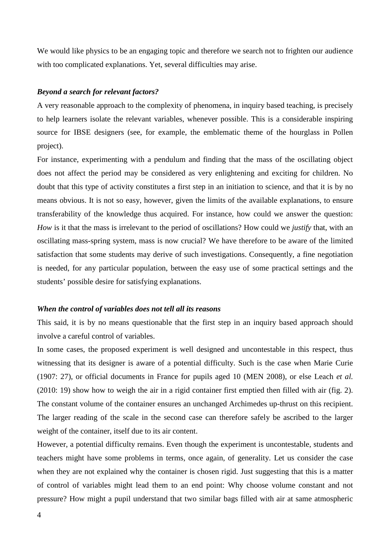We would like physics to be an engaging topic and therefore we search not to frighten our audience with too complicated explanations. Yet, several difficulties may arise.

## *Beyond a search for relevant factors?*

A very reasonable approach to the complexity of phenomena, in inquiry based teaching, is precisely to help learners isolate the relevant variables, whenever possible. This is a considerable inspiring source for IBSE designers (see, for example, the emblematic theme of the hourglass in Pollen project).

For instance, experimenting with a pendulum and finding that the mass of the oscillating object does not affect the period may be considered as very enlightening and exciting for children. No doubt that this type of activity constitutes a first step in an initiation to science, and that it is by no means obvious. It is not so easy, however, given the limits of the available explanations, to ensure transferability of the knowledge thus acquired. For instance, how could we answer the question: *How* is it that the mass is irrelevant to the period of oscillations? How could we *justify* that, with an oscillating mass-spring system, mass is now crucial? We have therefore to be aware of the limited satisfaction that some students may derive of such investigations. Consequently, a fine negotiation is needed, for any particular population, between the easy use of some practical settings and the students' possible desire for satisfying explanations.

## *When the control of variables does not tell all its reasons*

This said, it is by no means questionable that the first step in an inquiry based approach should involve a careful control of variables.

In some cases, the proposed experiment is well designed and uncontestable in this respect, thus witnessing that its designer is aware of a potential difficulty. Such is the case when Marie Curie (1907: 27), or official documents in France for pupils aged 10 (MEN 2008), or else Leach *et al.* (2010: 19) show how to weigh the air in a rigid container first emptied then filled with air (fig. 2). The constant volume of the container ensures an unchanged Archimedes up-thrust on this recipient. The larger reading of the scale in the second case can therefore safely be ascribed to the larger weight of the container, itself due to its air content.

However, a potential difficulty remains. Even though the experiment is uncontestable, students and teachers might have some problems in terms, once again, of generality. Let us consider the case when they are not explained why the container is chosen rigid. Just suggesting that this is a matter of control of variables might lead them to an end point: Why choose volume constant and not pressure? How might a pupil understand that two similar bags filled with air at same atmospheric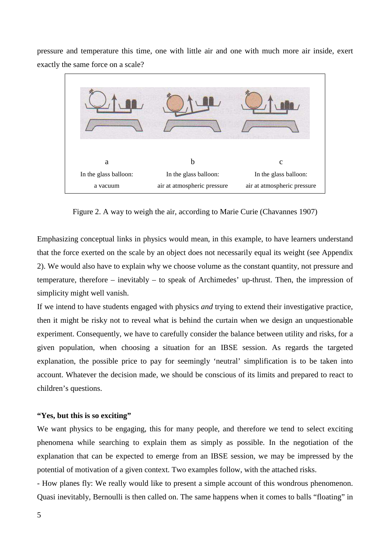pressure and temperature this time, one with little air and one with much more air inside, exert exactly the same force on a scale?



Figure 2. A way to weigh the air, according to Marie Curie (Chavannes 1907)

Emphasizing conceptual links in physics would mean, in this example, to have learners understand that the force exerted on the scale by an object does not necessarily equal its weight (see Appendix 2). We would also have to explain why we choose volume as the constant quantity, not pressure and temperature, therefore – inevitably – to speak of Archimedes' up-thrust. Then, the impression of simplicity might well vanish.

If we intend to have students engaged with physics *and* trying to extend their investigative practice, then it might be risky not to reveal what is behind the curtain when we design an unquestionable experiment. Consequently, we have to carefully consider the balance between utility and risks, for a given population, when choosing a situation for an IBSE session. As regards the targeted explanation, the possible price to pay for seemingly 'neutral' simplification is to be taken into account. Whatever the decision made, we should be conscious of its limits and prepared to react to children's questions.

## **"Yes, but this is so exciting"**

We want physics to be engaging, this for many people, and therefore we tend to select exciting phenomena while searching to explain them as simply as possible. In the negotiation of the explanation that can be expected to emerge from an IBSE session, we may be impressed by the potential of motivation of a given context. Two examples follow, with the attached risks.

- How planes fly: We really would like to present a simple account of this wondrous phenomenon. Quasi inevitably, Bernoulli is then called on. The same happens when it comes to balls "floating" in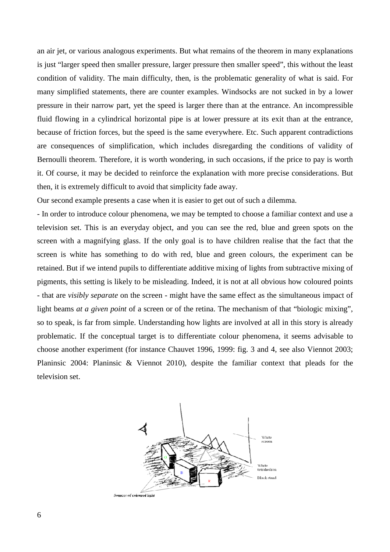an air jet, or various analogous experiments. But what remains of the theorem in many explanations is just "larger speed then smaller pressure, larger pressure then smaller speed", this without the least condition of validity. The main difficulty, then, is the problematic generality of what is said. For many simplified statements, there are counter examples. Windsocks are not sucked in by a lower pressure in their narrow part, yet the speed is larger there than at the entrance. An incompressible fluid flowing in a cylindrical horizontal pipe is at lower pressure at its exit than at the entrance, because of friction forces, but the speed is the same everywhere. Etc. Such apparent contradictions are consequences of simplification, which includes disregarding the conditions of validity of Bernoulli theorem. Therefore, it is worth wondering, in such occasions, if the price to pay is worth it. Of course, it may be decided to reinforce the explanation with more precise considerations. But then, it is extremely difficult to avoid that simplicity fade away.

Our second example presents a case when it is easier to get out of such a dilemma.

- In order to introduce colour phenomena, we may be tempted to choose a familiar context and use a television set. This is an everyday object, and you can see the red, blue and green spots on the screen with a magnifying glass. If the only goal is to have children realise that the fact that the screen is white has something to do with red, blue and green colours, the experiment can be retained. But if we intend pupils to differentiate additive mixing of lights from subtractive mixing of pigments, this setting is likely to be misleading. Indeed, it is not at all obvious how coloured points - that are *visibly separate* on the screen - might have the same effect as the simultaneous impact of light beams *at a given point* of a screen or of the retina. The mechanism of that "biologic mixing", so to speak, is far from simple. Understanding how lights are involved at all in this story is already problematic. If the conceptual target is to differentiate colour phenomena, it seems advisable to choose another experiment (for instance Chauvet 1996, 1999: fig. 3 and 4, see also Viennot 2003; Planinsic 2004: Planinsic & Viennot 2010), despite the familiar context that pleads for the television set.

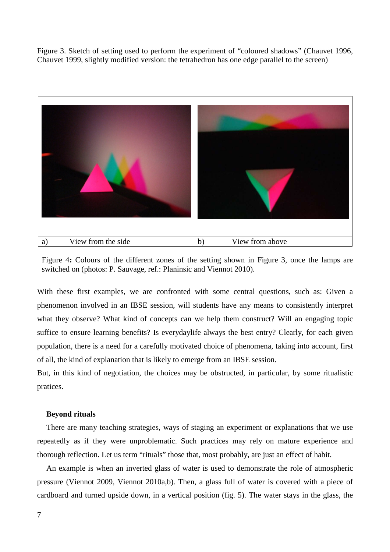Figure 3. Sketch of setting used to perform the experiment of "coloured shadows" (Chauvet 1996, Chauvet 1999, slightly modified version: the tetrahedron has one edge parallel to the screen)



Figure 4**:** Colours of the different zones of the setting shown in Figure 3, once the lamps are switched on (photos: P. Sauvage, ref.: Planinsic and Viennot 2010).

With these first examples, we are confronted with some central questions, such as: Given a phenomenon involved in an IBSE session, will students have any means to consistently interpret what they observe? What kind of concepts can we help them construct? Will an engaging topic suffice to ensure learning benefits? Is everydaylife always the best entry? Clearly, for each given population, there is a need for a carefully motivated choice of phenomena, taking into account, first of all, the kind of explanation that is likely to emerge from an IBSE session.

But, in this kind of negotiation, the choices may be obstructed, in particular, by some ritualistic pratices.

## **Beyond rituals**

There are many teaching strategies, ways of staging an experiment or explanations that we use repeatedly as if they were unproblematic. Such practices may rely on mature experience and thorough reflection. Let us term "rituals" those that, most probably, are just an effect of habit.

An example is when an inverted glass of water is used to demonstrate the role of atmospheric pressure (Viennot 2009, Viennot 2010a,b). Then, a glass full of water is covered with a piece of cardboard and turned upside down, in a vertical position (fig. 5). The water stays in the glass, the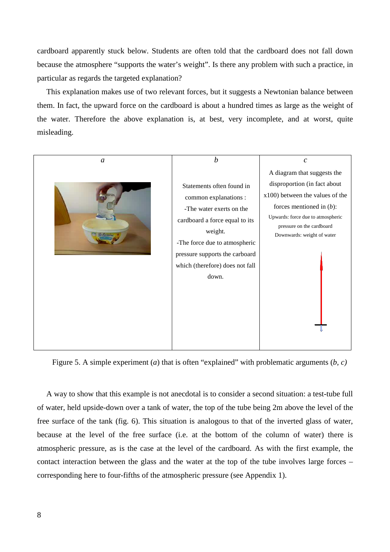cardboard apparently stuck below. Students are often told that the cardboard does not fall down because the atmosphere "supports the water's weight". Is there any problem with such a practice, in particular as regards the targeted explanation?

This explanation makes use of two relevant forces, but it suggests a Newtonian balance between them. In fact, the upward force on the cardboard is about a hundred times as large as the weight of the water. Therefore the above explanation is, at best, very incomplete, and at worst, quite misleading.



Figure 5. A simple experiment (*a*) that is often "explained" with problematic arguments (*b, c)* 

A way to show that this example is not anecdotal is to consider a second situation: a test-tube full of water, held upside-down over a tank of water, the top of the tube being 2m above the level of the free surface of the tank (fig. 6). This situation is analogous to that of the inverted glass of water, because at the level of the free surface (i.e. at the bottom of the column of water) there is atmospheric pressure, as is the case at the level of the cardboard. As with the first example, the contact interaction between the glass and the water at the top of the tube involves large forces – corresponding here to four-fifths of the atmospheric pressure (see Appendix 1).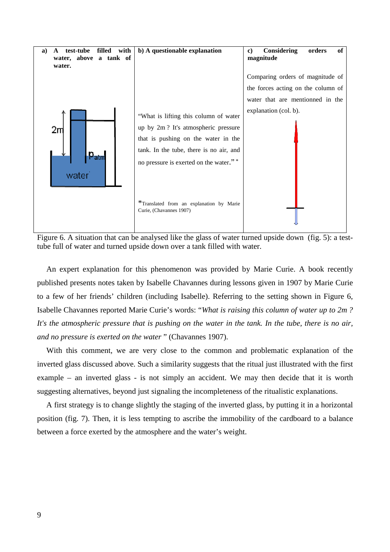

Figure 6. A situation that can be analysed like the glass of water turned upside down (fig. 5): a testtube full of water and turned upside down over a tank filled with water.

An expert explanation for this phenomenon was provided by Marie Curie. A book recently published presents notes taken by Isabelle Chavannes during lessons given in 1907 by Marie Curie to a few of her friends' children (including Isabelle). Referring to the setting shown in Figure 6, Isabelle Chavannes reported Marie Curie's words: "*What is raising this column of water up to 2m ? It's the atmospheric pressure that is pushing on the water in the tank. In the tube, there is no air, and no pressure is exerted on the water* " (Chavannes 1907).

With this comment, we are very close to the common and problematic explanation of the inverted glass discussed above. Such a similarity suggests that the ritual just illustrated with the first example – an inverted glass - is not simply an accident. We may then decide that it is worth suggesting alternatives, beyond just signaling the incompleteness of the ritualistic explanations.

A first strategy is to change slightly the staging of the inverted glass, by putting it in a horizontal position (fig. 7). Then, it is less tempting to ascribe the immobility of the cardboard to a balance between a force exerted by the atmosphere and the water's weight.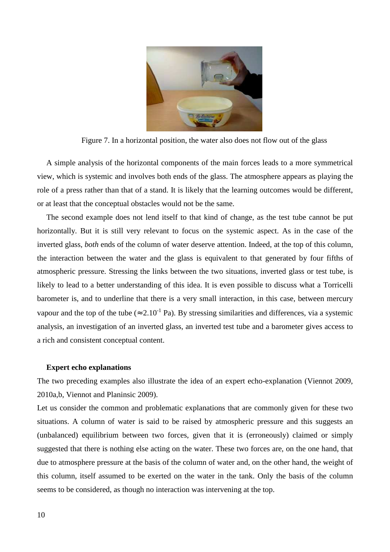

Figure 7. In a horizontal position, the water also does not flow out of the glass

A simple analysis of the horizontal components of the main forces leads to a more symmetrical view, which is systemic and involves both ends of the glass. The atmosphere appears as playing the role of a press rather than that of a stand. It is likely that the learning outcomes would be different, or at least that the conceptual obstacles would not be the same.

The second example does not lend itself to that kind of change, as the test tube cannot be put horizontally. But it is still very relevant to focus on the systemic aspect. As in the case of the inverted glass, *both* ends of the column of water deserve attention. Indeed, at the top of this column, the interaction between the water and the glass is equivalent to that generated by four fifths of atmospheric pressure. Stressing the links between the two situations, inverted glass or test tube, is likely to lead to a better understanding of this idea. It is even possible to discuss what a Torricelli barometer is, and to underline that there is a very small interaction, in this case, between mercury vapour and the top of the tube ( $\approx 2.10^{-1}$  Pa). By stressing similarities and differences, via a systemic analysis, an investigation of an inverted glass, an inverted test tube and a barometer gives access to a rich and consistent conceptual content.

#### **Expert echo explanations**

The two preceding examples also illustrate the idea of an expert echo-explanation (Viennot 2009, 2010a,b, Viennot and Planinsic 2009).

Let us consider the common and problematic explanations that are commonly given for these two situations. A column of water is said to be raised by atmospheric pressure and this suggests an (unbalanced) equilibrium between two forces, given that it is (erroneously) claimed or simply suggested that there is nothing else acting on the water. These two forces are, on the one hand, that due to atmosphere pressure at the basis of the column of water and, on the other hand, the weight of this column, itself assumed to be exerted on the water in the tank. Only the basis of the column seems to be considered, as though no interaction was intervening at the top.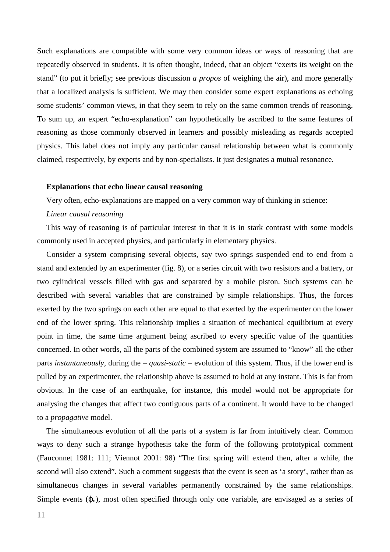Such explanations are compatible with some very common ideas or ways of reasoning that are repeatedly observed in students. It is often thought, indeed, that an object "exerts its weight on the stand" (to put it briefly; see previous discussion *a propos* of weighing the air), and more generally that a localized analysis is sufficient. We may then consider some expert explanations as echoing some students' common views, in that they seem to rely on the same common trends of reasoning. To sum up, an expert "echo-explanation" can hypothetically be ascribed to the same features of reasoning as those commonly observed in learners and possibly misleading as regards accepted physics. This label does not imply any particular causal relationship between what is commonly claimed, respectively, by experts and by non-specialists. It just designates a mutual resonance.

## **Explanations that echo linear causal reasoning**

Very often, echo-explanations are mapped on a very common way of thinking in science:

## *Linear causal reasoning*

This way of reasoning is of particular interest in that it is in stark contrast with some models commonly used in accepted physics, and particularly in elementary physics.

Consider a system comprising several objects, say two springs suspended end to end from a stand and extended by an experimenter (fig. 8), or a series circuit with two resistors and a battery, or two cylindrical vessels filled with gas and separated by a mobile piston. Such systems can be described with several variables that are constrained by simple relationships. Thus, the forces exerted by the two springs on each other are equal to that exerted by the experimenter on the lower end of the lower spring. This relationship implies a situation of mechanical equilibrium at every point in time, the same time argument being ascribed to every specific value of the quantities concerned. In other words, all the parts of the combined system are assumed to "know" all the other parts *instantaneously*, during the – *quasi-static* – evolution of this system. Thus, if the lower end is pulled by an experimenter, the relationship above is assumed to hold at any instant. This is far from obvious. In the case of an earthquake, for instance, this model would not be appropriate for analysing the changes that affect two contiguous parts of a continent. It would have to be changed to a *propagative* model.

The simultaneous evolution of all the parts of a system is far from intuitively clear. Common ways to deny such a strange hypothesis take the form of the following prototypical comment (Fauconnet 1981: 111; Viennot 2001: 98) "The first spring will extend then, after a while, the second will also extend". Such a comment suggests that the event is seen as 'a story', rather than as simultaneous changes in several variables permanently constrained by the same relationships. Simple events  $(\varphi_n)$ , most often specified through only one variable, are envisaged as a series of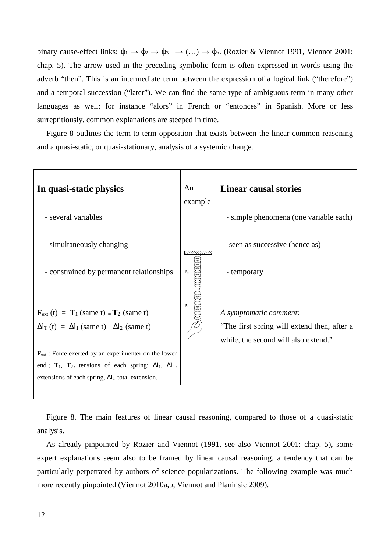binary cause-effect links:  $\varphi_1 \rightarrow \varphi_2 \rightarrow \varphi_3 \rightarrow \ldots$   $\rightarrow \varphi_n$ . (Rozier & Viennot 1991, Viennot 2001: chap. 5). The arrow used in the preceding symbolic form is often expressed in words using the adverb "then". This is an intermediate term between the expression of a logical link ("therefore") and a temporal succession ("later"). We can find the same type of ambiguous term in many other languages as well; for instance "alors" in French or "entonces" in Spanish. More or less surreptitiously, common explanations are steeped in time.

Figure 8 outlines the term-to-term opposition that exists between the linear common reasoning and a quasi-static, or quasi-stationary, analysis of a systemic change.



Figure 8. The main features of linear causal reasoning, compared to those of a quasi-static analysis.

As already pinpointed by Rozier and Viennot (1991, see also Viennot 2001: chap. 5), some expert explanations seem also to be framed by linear causal reasoning, a tendency that can be particularly perpetrated by authors of science popularizations. The following example was much more recently pinpointed (Viennot 2010a,b, Viennot and Planinsic 2009).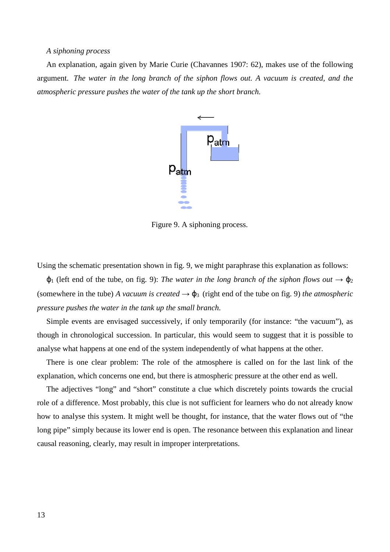#### *A siphoning process*

An explanation, again given by Marie Curie (Chavannes 1907: 62), makes use of the following argument. *The water in the long branch of the siphon flows out. A vacuum is created, and the atmospheric pressure pushes the water of the tank up the short branch.*



Figure 9. A siphoning process.

Using the schematic presentation shown in fig. 9, we might paraphrase this explanation as follows:

 $\varphi_1$  (left end of the tube, on fig. 9): *The water in the long branch of the siphon flows out*  $\rightarrow \varphi_2$ (somewhere in the tube) *A vacuum is created*  $\rightarrow \varphi_3$  (right end of the tube on fig. 9) *the atmospheric pressure pushes the water in the tank up the small branch*.

Simple events are envisaged successively, if only temporarily (for instance: "the vacuum"), as though in chronological succession. In particular, this would seem to suggest that it is possible to analyse what happens at one end of the system independently of what happens at the other.

There is one clear problem: The role of the atmosphere is called on for the last link of the explanation, which concerns one end, but there is atmospheric pressure at the other end as well.

The adjectives "long" and "short" constitute a clue which discretely points towards the crucial role of a difference. Most probably, this clue is not sufficient for learners who do not already know how to analyse this system. It might well be thought, for instance, that the water flows out of "the long pipe" simply because its lower end is open. The resonance between this explanation and linear causal reasoning, clearly, may result in improper interpretations.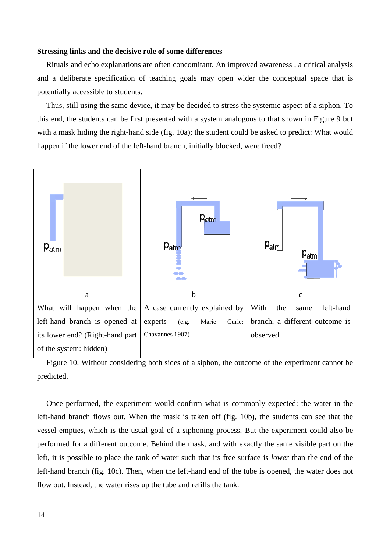## **Stressing links and the decisive role of some differences**

Rituals and echo explanations are often concomitant. An improved awareness , a critical analysis and a deliberate specification of teaching goals may open wider the conceptual space that is potentially accessible to students.

Thus, still using the same device, it may be decided to stress the systemic aspect of a siphon. To this end, the students can be first presented with a system analogous to that shown in Figure 9 but with a mask hiding the right-hand side (fig. 10a); the student could be asked to predict: What would happen if the lower end of the left-hand branch, initially blocked, were freed?



Figure 10. Without considering both sides of a siphon, the outcome of the experiment cannot be predicted.

Once performed, the experiment would confirm what is commonly expected: the water in the left-hand branch flows out. When the mask is taken off (fig. 10b), the students can see that the vessel empties, which is the usual goal of a siphoning process. But the experiment could also be performed for a different outcome. Behind the mask, and with exactly the same visible part on the left, it is possible to place the tank of water such that its free surface is *lower* than the end of the left-hand branch (fig. 10c). Then, when the left-hand end of the tube is opened, the water does not flow out. Instead, the water rises up the tube and refills the tank.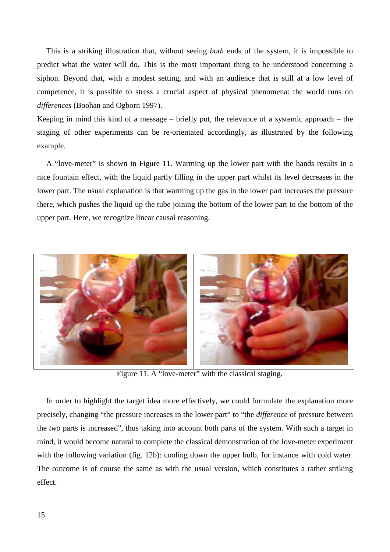This is a striking illustration that, without seeing *both* ends of the system, it is impossible to predict what the water will do. This is the most important thing to be understood concerning a siphon. Beyond that, with a modest setting, and with an audience that is still at a low level of competence, it is possible to stress a crucial aspect of physical phenomena: the world runs on *differences* (Boohan and Ogborn 1997).

Keeping in mind this kind of a message – briefly put, the relevance of a systemic approach – the staging of other experiments can be re-orientated accordingly, as illustrated by the following example.

A "love-meter" is shown in Figure 11. Warming up the lower part with the hands results in a nice fountain effect, with the liquid partly filling in the upper part whilst its level decreases in the lower part. The usual explanation is that warming up the gas in the lower part increases the pressure there, which pushes the liquid up the tube joining the bottom of the lower part to the bottom of the upper part. Here, we recognize linear causal reasoning.



Figure 11. A "love-meter" with the classical staging.

In order to highlight the target idea more effectively, we could formulate the explanation more precisely, changing "the pressure increases in the lower part" to "the *difference* of pressure between the *two* parts is increased", thus taking into account both parts of the system. With such a target in mind, it would become natural to complete the classical demonstration of the love-meter experiment with the following variation (fig. 12b): cooling down the upper bulb, for instance with cold water. The outcome is of course the same as with the usual version, which constitutes a rather striking effect.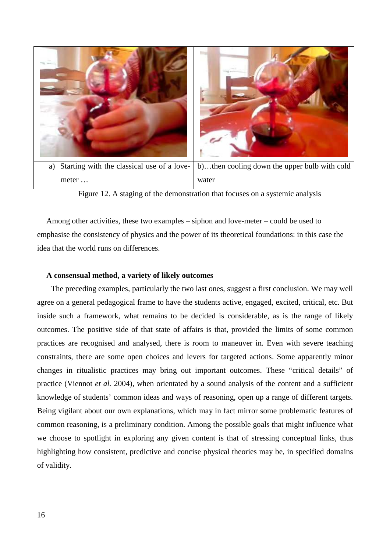

Figure 12. A staging of the demonstration that focuses on a systemic analysis

Among other activities, these two examples – siphon and love-meter – could be used to emphasise the consistency of physics and the power of its theoretical foundations: in this case the idea that the world runs on differences.

## **A consensual method, a variety of likely outcomes**

The preceding examples, particularly the two last ones, suggest a first conclusion. We may well agree on a general pedagogical frame to have the students active, engaged, excited, critical, etc. But inside such a framework, what remains to be decided is considerable, as is the range of likely outcomes. The positive side of that state of affairs is that, provided the limits of some common practices are recognised and analysed, there is room to maneuver in. Even with severe teaching constraints, there are some open choices and levers for targeted actions. Some apparently minor changes in ritualistic practices may bring out important outcomes. These "critical details" of practice (Viennot *et al.* 2004), when orientated by a sound analysis of the content and a sufficient knowledge of students' common ideas and ways of reasoning, open up a range of different targets. Being vigilant about our own explanations, which may in fact mirror some problematic features of common reasoning, is a preliminary condition. Among the possible goals that might influence what we choose to spotlight in exploring any given content is that of stressing conceptual links, thus highlighting how consistent, predictive and concise physical theories may be, in specified domains of validity.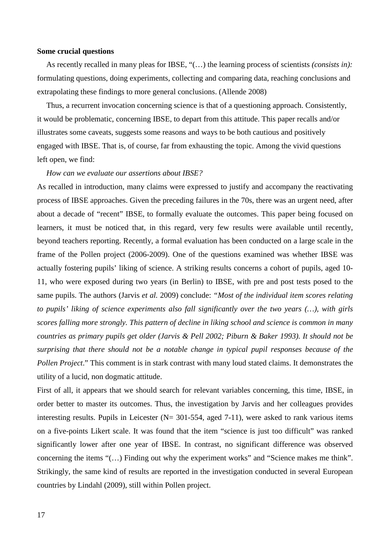## **Some crucial questions**

As recently recalled in many pleas for IBSE, "(…) the learning process of scientists *(consists in):* formulating questions, doing experiments, collecting and comparing data, reaching conclusions and extrapolating these findings to more general conclusions. (Allende 2008)

Thus, a recurrent invocation concerning science is that of a questioning approach. Consistently, it would be problematic, concerning IBSE, to depart from this attitude. This paper recalls and/or illustrates some caveats, suggests some reasons and ways to be both cautious and positively engaged with IBSE. That is, of course, far from exhausting the topic. Among the vivid questions left open, we find:

### *How can we evaluate our assertions about IBSE?*

As recalled in introduction, many claims were expressed to justify and accompany the reactivating process of IBSE approaches. Given the preceding failures in the 70s, there was an urgent need, after about a decade of "recent" IBSE, to formally evaluate the outcomes. This paper being focused on learners, it must be noticed that, in this regard, very few results were available until recently, beyond teachers reporting. Recently, a formal evaluation has been conducted on a large scale in the frame of the Pollen project (2006-2009). One of the questions examined was whether IBSE was actually fostering pupils' liking of science. A striking results concerns a cohort of pupils, aged 10- 11, who were exposed during two years (in Berlin) to IBSE, with pre and post tests posed to the same pupils. The authors (Jarvis *et al.* 2009) conclude: *"Most of the individual item scores relating to pupils' liking of science experiments also fall significantly over the two years (…), with girls scores falling more strongly. This pattern of decline in liking school and science is common in many countries as primary pupils get older (Jarvis & Pell 2002; Piburn & Baker 1993). It should not be surprising that there should not be a notable change in typical pupil responses because of the Pollen Project*." This comment is in stark contrast with many loud stated claims. It demonstrates the utility of a lucid, non dogmatic attitude.

First of all, it appears that we should search for relevant variables concerning, this time, IBSE, in order better to master its outcomes. Thus, the investigation by Jarvis and her colleagues provides interesting results. Pupils in Leicester ( $N = 301-554$ , aged  $7-11$ ), were asked to rank various items on a five-points Likert scale. It was found that the item "science is just too difficult" was ranked significantly lower after one year of IBSE. In contrast, no significant difference was observed concerning the items "(…) Finding out why the experiment works" and "Science makes me think". Strikingly, the same kind of results are reported in the investigation conducted in several European countries by Lindahl (2009), still within Pollen project.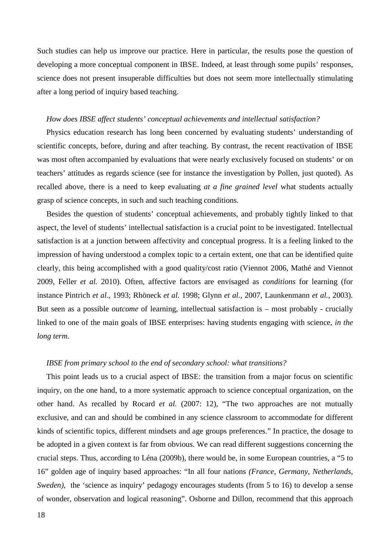Such studies can help us improve our practice. Here in particular, the results pose the question of developing a more conceptual component in IBSE. Indeed, at least through some pupils' responses, science does not present insuperable difficulties but does not seem more intellectually stimulating after a long period of inquiry based teaching.

#### *How does IBSE affect students' conceptual achievements and intellectual satisfaction?*

Physics education research has long been concerned by evaluating students' understanding of scientific concepts, before, during and after teaching. By contrast, the recent reactivation of IBSE was most often accompanied by evaluations that were nearly exclusively focused on students' or on teachers' attitudes as regards science (see for instance the investigation by Pollen, just quoted). As recalled above, there is a need to keep evaluating *at a fine grained level* what students actually grasp of science concepts, in such and such teaching conditions.

Besides the question of students' conceptual achievements, and probably tightly linked to that aspect, the level of students' intellectual satisfaction is a crucial point to be investigated. Intellectual satisfaction is at a junction between affectivity and conceptual progress. It is a feeling linked to the impression of having understood a complex topic to a certain extent, one that can be identified quite clearly, this being accomplished with a good quality/cost ratio (Viennot 2006, Mathé and Viennot 2009, Feller *et al.* 2010). Often, affective factors are envisaged as *conditions* for learning (for instance Pintrich *et al.,* 1993; Rhöneck *et al.* 1998; Glynn *et al.*, 2007, Launkenmann *et al.*, 2003). But seen as a possible *outcome* of learning, intellectual satisfaction is – most probably - crucially linked to one of the main goals of IBSE enterprises: having students engaging with science, *in the long term*.

## *IBSE from primary school to the end of secondary school: what transitions?*

This point leads us to a crucial aspect of IBSE: the transition from a major focus on scientific inquiry, on the one hand, to a more systematic approach to science conceptual organization, on the other hand. As recalled by Rocard *et al.* (2007: 12), "The two approaches are not mutually exclusive, and can and should be combined in any science classroom to accommodate for different kinds of scientific topics, different mindsets and age groups preferences." In practice, the dosage to be adopted in a given context is far from obvious. We can read different suggestions concerning the crucial steps. Thus, according to Léna (2009b), there would be, in some European countries, a "5 to 16" golden age of inquiry based approaches: "In all four nations *(France, Germany, Netherlands, Sweden*), the 'science as inquiry' pedagogy encourages students (from 5 to 16) to develop a sense of wonder, observation and logical reasoning". Osborne and Dillon, recommend that this approach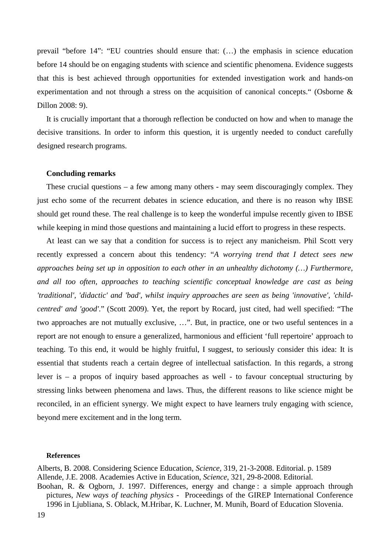prevail "before 14": "EU countries should ensure that: (…) the emphasis in science education before 14 should be on engaging students with science and scientific phenomena. Evidence suggests that this is best achieved through opportunities for extended investigation work and hands-on experimentation and not through a stress on the acquisition of canonical concepts." (Osborne & Dillon 2008: 9).

It is crucially important that a thorough reflection be conducted on how and when to manage the decisive transitions. In order to inform this question, it is urgently needed to conduct carefully designed research programs.

## **Concluding remarks**

These crucial questions – a few among many others - may seem discouragingly complex. They just echo some of the recurrent debates in science education, and there is no reason why IBSE should get round these. The real challenge is to keep the wonderful impulse recently given to IBSE while keeping in mind those questions and maintaining a lucid effort to progress in these respects.

At least can we say that a condition for success is to reject any manicheism. Phil Scott very recently expressed a concern about this tendency: "*A worrying trend that I detect sees new approaches being set up in opposition to each other in an unhealthy dichotomy (…) Furthermore, and all too often, approaches to teaching scientific conceptual knowledge are cast as being 'traditional', 'didactic' and 'bad', whilst inquiry approaches are seen as being 'innovative', 'childcentred' and 'good'*." (Scott 2009). Yet, the report by Rocard, just cited, had well specified: "The two approaches are not mutually exclusive, …". But, in practice, one or two useful sentences in a report are not enough to ensure a generalized, harmonious and efficient 'full repertoire' approach to teaching. To this end, it would be highly fruitful, I suggest, to seriously consider this idea: It is essential that students reach a certain degree of intellectual satisfaction. In this regards, a strong lever is – a propos of inquiry based approaches as well - to favour conceptual structuring by stressing links between phenomena and laws. Thus, the different reasons to like science might be reconciled, in an efficient synergy. We might expect to have learners truly engaging with science, beyond mere excitement and in the long term.

#### **References**

Alberts, B. 2008. Considering Science Education, *Science,* 319, 21-3-2008. Editorial. p. 1589 Allende, J.E. 2008. Academies Active in Education*, Science*, 321, 29-8-2008. Editorial.

Boohan, R. & Ogborn, J. 1997. Differences, energy and change : a simple approach through pictures*, New ways of teaching physics* - Proceedings of the GIREP International Conference 1996 in Ljubliana, S. Oblack, M.Hribar, K. Luchner, M. Munih, Board of Education Slovenia.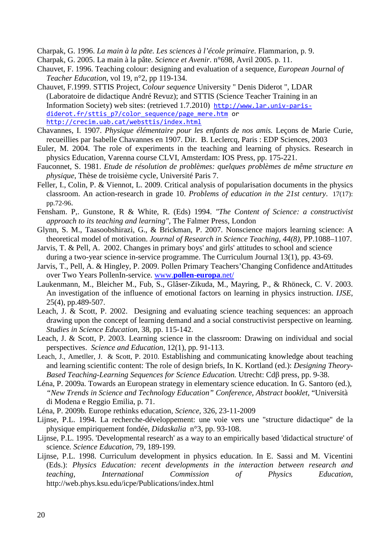Charpak, G. 1996. *La main à la pâte. Les sciences à l'école primaire*. Flammarion, p. 9.

- Charpak, G. 2005. La main à la pâte. *Science et Avenir*. n°698, Avril 2005. p. 11.
- Chauvet, F. 1996. Teaching colour: designing and evaluation of a sequence, *European Journal of Teacher Education*, vol 19, n°2, pp 119-134.
- Chauvet, F.1999. STTIS Project, *Colour sequence* University " Denis Diderot ", LDAR (Laboratoire de didactique André Revuz); and STTIS (Science Teacher Training in an Information Society) web sites: (retrieved 1.7.2010) http://www.lar.univ-parisdiderot.fr/sttis\_p7/color\_sequence/page\_mere.htm or http://crecim.uab.cat/websttis/index.html
- Chavannes, I. 1907. *Physique élémentaire pour les enfants de nos amis.* Leçons de Marie Curie, recueillies par Isabelle Chavannes en 1907. Dir. B. Leclercq, Paris : EDP Sciences, 2003
- Euler, M. 2004. The role of experiments in the teaching and learning of physics. Research in physics Education, Varenna course CLVI, Amsterdam: IOS Press, pp. 175-221.
- Fauconnet, S. 1981. *Etude de résolution de problèmes: quelques problèmes de même structure en physique*, Thèse de troisième cycle, Université Paris 7.
- Feller, I., Colin, P. & Viennot, L. 2009. Critical analysis of popularisation documents in the physics classroom. An action-research in grade 10. *Problems of education in the 21st century*. 17(17): pp.72-96.
- Fensham. P,. Gunstone, R & White, R. (Eds) 1994. *"The Content of Science: a constructivist approach to its teaching and learning",* The Falmer Press, London
- Glynn, S. M., Taasoobshirazi, G., & Brickman, P. 2007. Nonscience majors learning science: A theoretical model of motivation. *Journal of Research in Science Teaching, 44(8),* PP.1088–1107.
- Jarvis, T. & Pell, A. 2002. Changes in primary boys' and girls' attitudes to school and science during a two-year science in-service programme. The Curriculum Journal 13(1), pp. 43-69.
- Jarvis, T., Pell, A. & Hingley, P. 2009. Pollen Primary Teachers'Changing Confidence andAttitudes over Two Years PollenIn-service. www.**pollen**-**europa**.net/
- Laukenmann, M., Bleicher M., Fub, S., Glâser-Zikuda, M., Mayring, P., & Rhöneck, C. V. 2003. An investigation of the influence of emotional factors on learning in physics instruction. *IJSE*, 25(4), pp.489-507.
- Leach, J. & Scott, P. 2002. Designing and evaluating science teaching sequences: an approach drawing upon the concept of learning demand and a social constructivist perspective on learning*. Studies in Science Education*, 38, pp. 115-142.
- Leach, J. & Scott, P. 2003. Learning science in the classroom: Drawing on individual and social perspectives. *Science and Education,* 12(1), pp. 91-113.
- Leach, J., Ametller, J. & Scott, P. 2010. Establishing and communicating knowledge about teaching and learning scientific content: The role of design briefs, In K. Kortland (ed.): *Designing Theory-Based Teaching-Learning Sequences for Science Education.* Utrecht: Cdβ press, pp. 9-38.
- Léna, P. 2009a. Towards an European strategy in elementary science education. In G. Santoro (ed.), *"New Trends in Science and Technology Education" Conference, Abstract booklet,* "Università di Modena e Reggio Emilia, p. 71.
- Léna, P. 2009b*.* Europe rethinks education*, Science,* 326, 23-11-2009
- Lijnse, P.L. 1994. La recherche-développement: une voie vers une "structure didactique" de la physique empiriquement fondée, *Didaskalia* n°3, pp. 93-108.
- Lijnse, P.L. 1995. 'Developmental research' as a way to an empirically based 'didactical structure' of science*. Science Education*, 79, 189-199.
- Lijnse, P.L. 1998. Curriculum development in physics education. In E. Sassi and M. Vicentini (Eds.): *Physics Education: recent developments in the interaction between research and teaching, International Commission of Physics Education*, http://web.phys.ksu.edu/icpe/Publications/index.html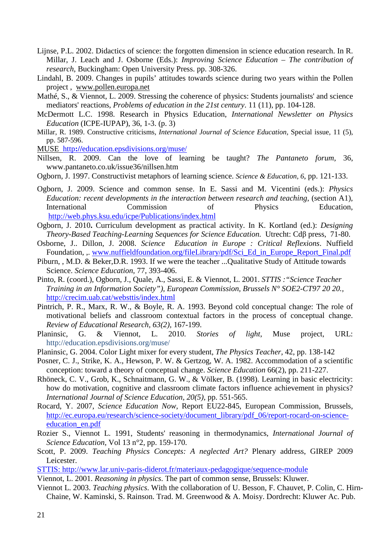- Lijnse, P.L. 2002. Didactics of science: the forgotten dimension in science education research. In R. Millar, J. Leach and J. Osborne (Eds.): *Improving Science Education – The contribution of research*, Buckingham: Open University Press. pp. 308-326.
- Lindahl, B. 2009. Changes in pupils' attitudes towards science during two years within the Pollen project , www.pollen.europa.net
- Mathé, S., & Viennot, L. 2009. Stressing the coherence of physics: Students journalists' and science mediators' reactions, *Problems of education in the 21st century*. 11 (11), pp. 104-128.
- McDermott L.C. 1998. Research in Physics Education, *International Newsletter on Physics Education* (ICPE-IUPAP), 36, 1-3. (p. 3)
- Millar, R. 1989. Constructive criticisms, *International Journal of Science Education*, Special issue, 11 (5), pp. 587-596.

MUSE http**://**education.epsdivisions.org/muse/

Nillsen, R. 2009. Can the love of learning be taught? *The Pantaneto forum*, 36, www.pantaneto.co.uk/issue36/nillsen.htm

Ogborn, J. 1997. Constructivist metaphors of learning science. *Science & Education, 6*, pp. 121-133.

- Ogborn, J. 2009. Science and common sense. In E. Sassi and M. Vicentini (eds.): *Physics Education: recent developments in the interaction between research and teaching*, (section A1), International Commission of Physics Education, http://web.phys.ksu.edu/icpe/Publications/index.html
- Ogborn, J. 2010**.** Curriculum development as practical activity. In K. Kortland (ed.): *Designing Theory-Based Teaching-Learning Sequences for Science Education.* Utrecht: Cdβ press, 71-80.
- Osborne, J.. Dillon, J. 2008. *Science Education in Europe : Critical Reflexions*. Nuffield Foundation, ,. www.nuffieldfoundation.org/fileLibrary/pdf/Sci\_Ed\_in\_Europe\_Report\_Final.pdf
- Piburn, , M.D. & Beker,D.R. 1993. If we were the teacher ...Qualitative Study of Attitude towards Science. *Science Education*, 77, 393-406.
- Pinto, R. (coord.), Ogborn, J., Quale, A., Sassi, E. & Viennot, L. 2001. *STTIS :"Science Teacher Training in an Information Society"), European Commission, Brussels N° SOE2-CT97 20 20.,*  http://crecim.uab.cat/websttis/index.html
- Pintrich, P. R., Marx, R. W., & Boyle, R. A. 1993. Beyond cold conceptual change: The role of motivational beliefs and classroom contextual factors in the process of conceptual change. *Review of Educational Research, 63(2),* 167-199.
- Planinsic, G. & Viennot, L. 2010. *Stories of light*, Muse project, URL: http://education.epsdivisions.org/muse/
- Planinsic, G. 2004. Color Light mixer for every student, *The Physics Teacher*, 42, pp. 138-142
- Posner, C. J., Strike, K. A., Hewson, P. W. & Gertzog, W. A. 1982. Accommodation of a scientific conception: toward a theory of conceptual change. *Science Education* 66(2), pp. 211-227.
- Rhöneck, C. V., Grob, K., Schnaitmann, G. W., & Völker, B. (1998). Learning in basic electricity: how do motivation, cognitive and classroom climate factors influence achievement in physics? *International Journal of Science Education, 20(5),* pp. 551-565.
- Rocard, Y. 2007, *Science Education Now*, Report EU22-845, European Commission, Brussels, http://ec.europa.eu/research/science-society/document\_library/pdf\_06/report-rocard-on-scienceeducation\_en.pdf
- Rozier S., Viennot L. 1991, Students' reasoning in thermodynamics, *International Journal of Science Education*, Vol 13 n°2, pp. 159-170.
- Scott, P. 2009. *Teaching Physics Concepts: A neglected Art?* Plenary address, GIREP 2009 Leicester.
- STTIS: http://www.lar.univ-paris-diderot.fr/materiaux-pedagogique/sequence-module
- Viennot, L. 2001. *Reasoning in physics*. The part of common sense, Brussels: Kluwer.
- Viennot L. 2003. *Teaching physics*. With the collaboration of U. Besson, F. Chauvet, P. Colin, C. Hirn-Chaine, W. Kaminski, S. Rainson. Trad. M. Greenwood & A. Moisy. Dordrecht: Kluwer Ac. Pub.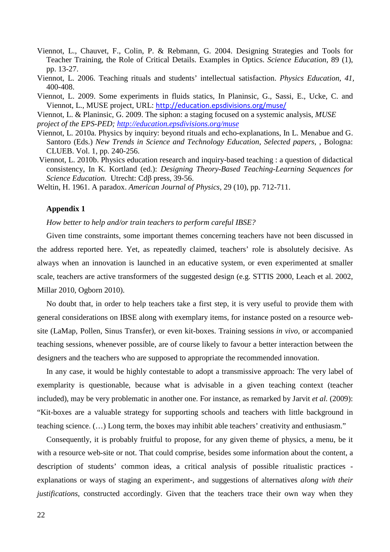- Viennot, L., Chauvet, F., Colin, P. & Rebmann, G. 2004. Designing Strategies and Tools for Teacher Training, the Role of Critical Details. Examples in Optics. *Science Education*, 89 (1), pp. 13-27.
- Viennot, L. 2006. Teaching rituals and students' intellectual satisfaction. *Physics Education, 41,* 400-408.
- Viennot, L. 2009. Some experiments in fluids statics, In Planinsic, G., Sassi, E., Ucke, C. and Viennot, L., MUSE project, URL: http://education.epsdivisions.org/muse/

Viennot, L. & Planinsic, G. 2009. The siphon: a staging focused on a systemic analysis, *MUSE project of the EPS-PED; http://education.epsdivisions.org/muse*

- Viennot, L. 2010a. Physics by inquiry: beyond rituals and echo-explanations, In L. Menabue and G. Santoro (Eds.) *New Trends in Science and Technology Education, Selected papers*, , Bologna: CLUEB. Vol. 1, pp. 240-256.
- Viennot, L. 2010b. Physics education research and inquiry-based teaching : a question of didactical consistency, In K. Kortland (ed.): *Designing Theory-Based Teaching-Learning Sequences for Science Education.* Utrecht: Cdβ press, 39-56.
- Weltin, H. 1961. A paradox. *American Journal of Physics*, 29 (10), pp. 712-711.

## **Appendix 1**

*How better to help and/or train teachers to perform careful IBSE?* 

Given time constraints, some important themes concerning teachers have not been discussed in the address reported here. Yet, as repeatedly claimed, teachers' role is absolutely decisive. As always when an innovation is launched in an educative system, or even experimented at smaller scale, teachers are active transformers of the suggested design (e.g. STTIS 2000, Leach et al. 2002, Millar 2010, Ogborn 2010).

No doubt that, in order to help teachers take a first step, it is very useful to provide them with general considerations on IBSE along with exemplary items, for instance posted on a resource website (LaMap, Pollen, Sinus Transfer), or even kit-boxes. Training sessions *in vivo*, or accompanied teaching sessions, whenever possible, are of course likely to favour a better interaction between the designers and the teachers who are supposed to appropriate the recommended innovation.

In any case, it would be highly contestable to adopt a transmissive approach: The very label of exemplarity is questionable, because what is advisable in a given teaching context (teacher included), may be very problematic in another one. For instance, as remarked by Jarvit *et al.* (2009): "Kit-boxes are a valuable strategy for supporting schools and teachers with little background in teaching science. (…) Long term, the boxes may inhibit able teachers' creativity and enthusiasm."

Consequently, it is probably fruitful to propose, for any given theme of physics, a menu, be it with a resource web-site or not. That could comprise, besides some information about the content, a description of students' common ideas, a critical analysis of possible ritualistic practices explanations or ways of staging an experiment-, and suggestions of alternatives *along with their justifications*, constructed accordingly. Given that the teachers trace their own way when they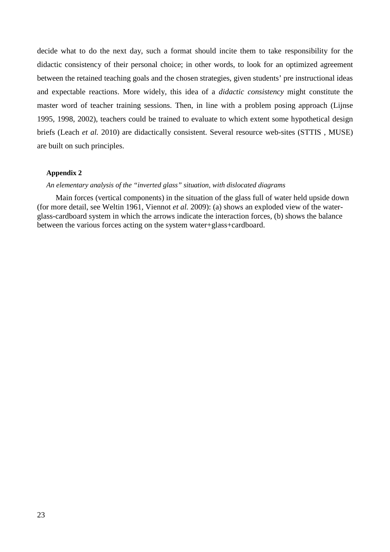decide what to do the next day, such a format should incite them to take responsibility for the didactic consistency of their personal choice; in other words, to look for an optimized agreement between the retained teaching goals and the chosen strategies, given students' pre instructional ideas and expectable reactions. More widely, this idea of a *didactic consistency* might constitute the master word of teacher training sessions. Then, in line with a problem posing approach (Lijnse 1995, 1998, 2002), teachers could be trained to evaluate to which extent some hypothetical design briefs (Leach *et al.* 2010) are didactically consistent. Several resource web-sites (STTIS , MUSE) are built on such principles.

#### **Appendix 2**

*An elementary analysis of the "inverted glass" situation, with dislocated diagrams* 

Main forces (vertical components) in the situation of the glass full of water held upside down (for more detail, see Weltin 1961, Viennot *et al.* 2009): (a) shows an exploded view of the waterglass-cardboard system in which the arrows indicate the interaction forces, (b) shows the balance between the various forces acting on the system water+glass+cardboard.